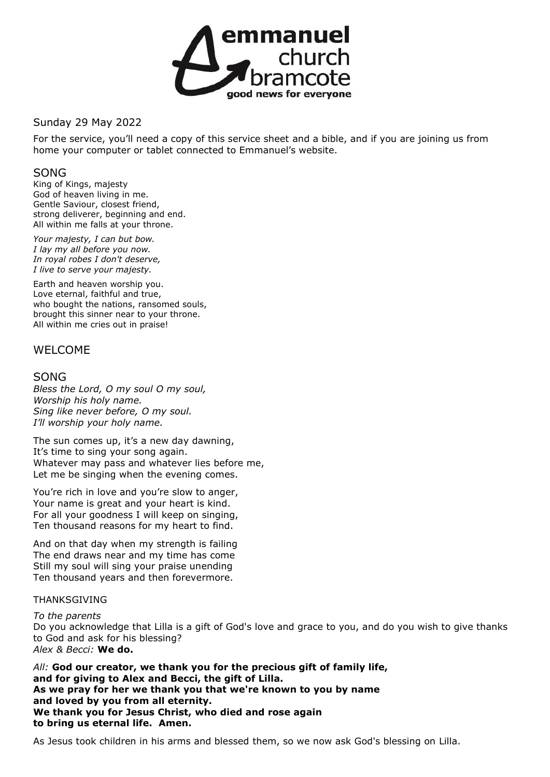

Sunday 29 May 2022

For the service, you'll need a copy of this service sheet and a bible, and if you are joining us from home your computer or tablet connected to Emmanuel's website.

# SONG

King of Kings, majesty God of heaven living in me. Gentle Saviour, closest friend, strong deliverer, beginning and end. All within me falls at your throne.

*Your majesty, I can but bow. I lay my all before you now. In royal robes I don't deserve, I live to serve your majesty.*

Earth and heaven worship you. Love eternal, faithful and true, who bought the nations, ransomed souls, brought this sinner near to your throne. All within me cries out in praise!

# WELCOME

## SONG

*Bless the Lord, O my soul O my soul, Worship his holy name. Sing like never before, O my soul. I'll worship your holy name.*

The sun comes up, it's a new day dawning, It's time to sing your song again. Whatever may pass and whatever lies before me, Let me be singing when the evening comes.

You're rich in love and you're slow to anger, Your name is great and your heart is kind. For all your goodness I will keep on singing, Ten thousand reasons for my heart to find.

And on that day when my strength is failing The end draws near and my time has come Still my soul will sing your praise unending Ten thousand years and then forevermore.

#### THANKSGIVING

#### *To the parents*

Do you acknowledge that Lilla is a gift of God's love and grace to you, and do you wish to give thanks to God and ask for his blessing? *Alex & Becci:* **We do.**

*All:* **God our creator, we thank you for the precious gift of family life, and for giving to Alex and Becci, the gift of Lilla. As we pray for her we thank you that we're known to you by name and loved by you from all eternity. We thank you for Jesus Christ, who died and rose again to bring us eternal life. Amen.**

As Jesus took children in his arms and blessed them, so we now ask God's blessing on Lilla.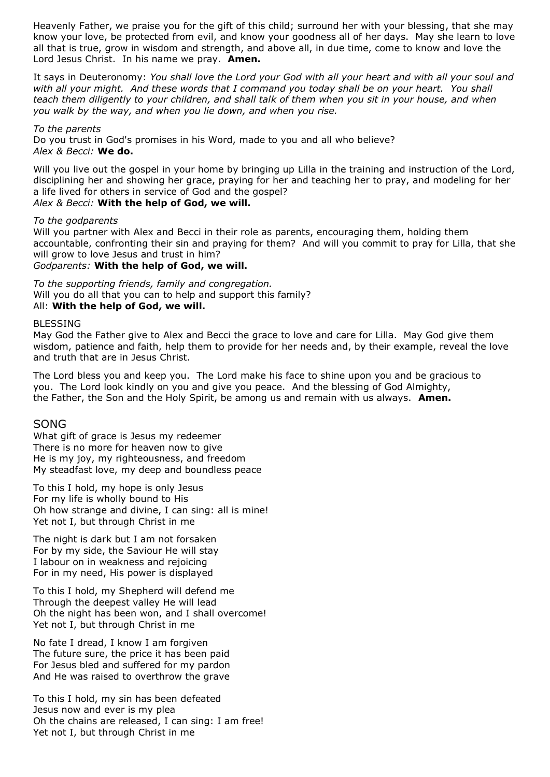Heavenly Father, we praise you for the gift of this child; surround her with your blessing, that she may know your love, be protected from evil, and know your goodness all of her days. May she learn to love all that is true, grow in wisdom and strength, and above all, in due time, come to know and love the Lord Jesus Christ. In his name we pray. **Amen.**

It says in Deuteronomy: *You shall love the Lord your God with all your heart and with all your soul and with all your might. And these words that I command you today shall be on your heart. You shall teach them diligently to your children, and shall talk of them when you sit in your house, and when you walk by the way, and when you lie down, and when you rise.*

*To the parents*

Do you trust in God's promises in his Word, made to you and all who believe? *Alex & Becci:* **We do.**

Will you live out the gospel in your home by bringing up Lilla in the training and instruction of the Lord, disciplining her and showing her grace, praying for her and teaching her to pray, and modeling for her a life lived for others in service of God and the gospel? *Alex & Becci:* **With the help of God, we will.**

#### *To the godparents*

Will you partner with Alex and Becci in their role as parents, encouraging them, holding them accountable, confronting their sin and praying for them? And will you commit to pray for Lilla, that she will grow to love Jesus and trust in him? *Godparents:* **With the help of God, we will.**

*To the supporting friends, family and congregation.* Will you do all that you can to help and support this family? All: **With the help of God, we will.**

#### BLESSING

May God the Father give to Alex and Becci the grace to love and care for Lilla. May God give them wisdom, patience and faith, help them to provide for her needs and, by their example, reveal the love and truth that are in Jesus Christ.

The Lord bless you and keep you. The Lord make his face to shine upon you and be gracious to you. The Lord look kindly on you and give you peace. And the blessing of God Almighty, the Father, the Son and the Holy Spirit, be among us and remain with us always. **Amen.**

## SONG

What gift of grace is Jesus my redeemer There is no more for heaven now to give He is my joy, my righteousness, and freedom My steadfast love, my deep and boundless peace

To this I hold, my hope is only Jesus For my life is wholly bound to His Oh how strange and divine, I can sing: all is mine! Yet not I, but through Christ in me

The night is dark but I am not forsaken For by my side, the Saviour He will stay I labour on in weakness and rejoicing For in my need, His power is displayed

To this I hold, my Shepherd will defend me Through the deepest valley He will lead Oh the night has been won, and I shall overcome! Yet not I, but through Christ in me

No fate I dread, I know I am forgiven The future sure, the price it has been paid For Jesus bled and suffered for my pardon And He was raised to overthrow the grave

To this I hold, my sin has been defeated Jesus now and ever is my plea Oh the chains are released, I can sing: I am free! Yet not I, but through Christ in me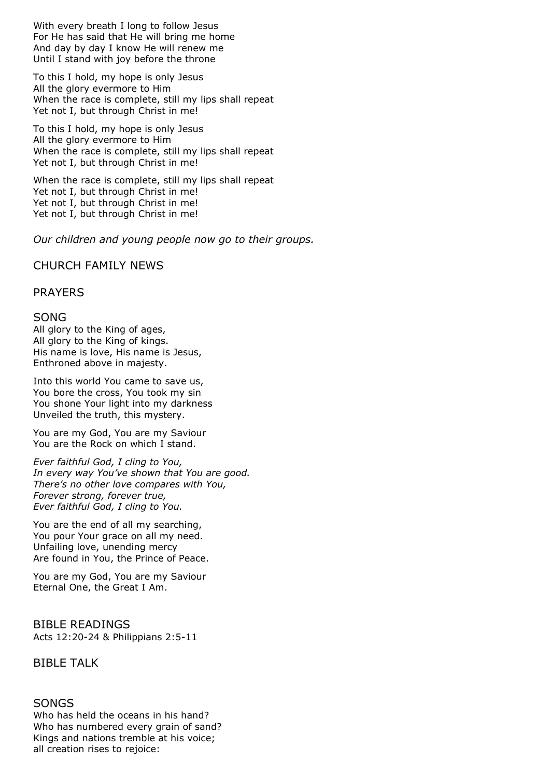With every breath I long to follow Jesus For He has said that He will bring me home And day by day I know He will renew me Until I stand with joy before the throne

To this I hold, my hope is only Jesus All the glory evermore to Him When the race is complete, still my lips shall repeat Yet not I, but through Christ in me!

To this I hold, my hope is only Jesus All the glory evermore to Him When the race is complete, still my lips shall repeat Yet not I, but through Christ in me!

When the race is complete, still my lips shall repeat Yet not I, but through Christ in me! Yet not I, but through Christ in me! Yet not I, but through Christ in me!

*Our children and young people now go to their groups.*

CHURCH FAMILY NEWS

### PRAYERS

#### SONG

All glory to the King of ages, All glory to the King of kings. His name is love, His name is Jesus, Enthroned above in majesty.

Into this world You came to save us, You bore the cross, You took my sin You shone Your light into my darkness Unveiled the truth, this mystery.

You are my God, You are my Saviour You are the Rock on which I stand.

*Ever faithful God, I cling to You, In every way You've shown that You are good. There's no other love compares with You, Forever strong, forever true, Ever faithful God, I cling to You.*

You are the end of all my searching, You pour Your grace on all my need. Unfailing love, unending mercy Are found in You, the Prince of Peace.

You are my God, You are my Saviour Eternal One, the Great I Am.

BIBLE READINGS Acts 12:20-24 & Philippians 2:5-11

BIBLE TALK

# SONGS

Who has held the oceans in his hand? Who has numbered every grain of sand? Kings and nations tremble at his voice; all creation rises to rejoice: